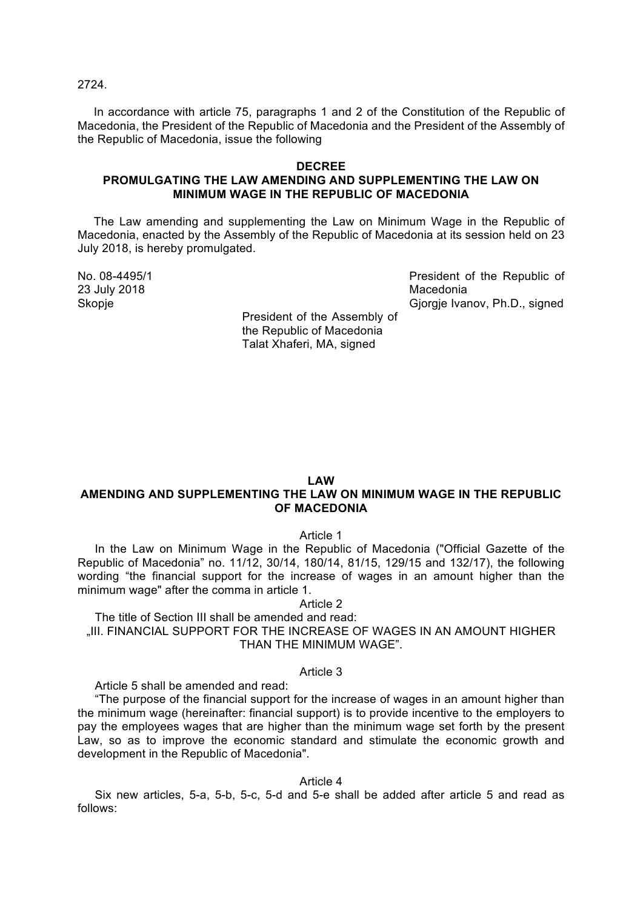2724.

In accordance with article 75, paragraphs 1 and 2 of the Constitution of the Republic of Macedonia, the President of the Republic of Macedonia and the President of the Assembly of the Republic of Macedonia, issue the following

# **DECREE PROMULGATING THE LAW AMENDING AND SUPPLEMENTING THE LAW ON MINIMUM WAGE IN THE REPUBLIC OF MACEDONIA**

The Law amending and supplementing the Law on Minimum Wage in the Republic of Macedonia, enacted by the Assembly of the Republic of Macedonia at its session held on 23 July 2018, is hereby promulgated.

23 July 2018 Macedonia

No. 08-4495/1 **President of the Republic of** President of the Republic of Skopje Gjorgje Ivanov, Ph.D., signed

President of the Assembly of the Republic of Macedonia Talat Xhaferi, MA, signed

## **LAW**

# **AMENDING AND SUPPLEMENTING THE LAW ON MINIMUM WAGE IN THE REPUBLIC OF MACEDONIA**

Article 1

In the Law on Minimum Wage in the Republic of Macedonia ("Official Gazette of the Republic of Macedonia" no. 11/12, 30/14, 180/14, 81/15, 129/15 and 132/17), the following wording "the financial support for the increase of wages in an amount higher than the minimum wage" after the comma in article 1.

Article 2

The title of Section III shall be amended and read: "III. FINANCIAL SUPPORT FOR THE INCREASE OF WAGES IN AN AMOUNT HIGHER THAN THE MINIMUM WAGE".

## Article 3

Article 5 shall be amended and read:

"The purpose of the financial support for the increase of wages in an amount higher than the minimum wage (hereinafter: financial support) is to provide incentive to the employers to pay the employees wages that are higher than the minimum wage set forth by the present Law, so as to improve the economic standard and stimulate the economic growth and development in the Republic of Macedonia".

Article 4

Six new articles, 5-a, 5-b, 5-c, 5-d and 5-e shall be added after article 5 and read as follows: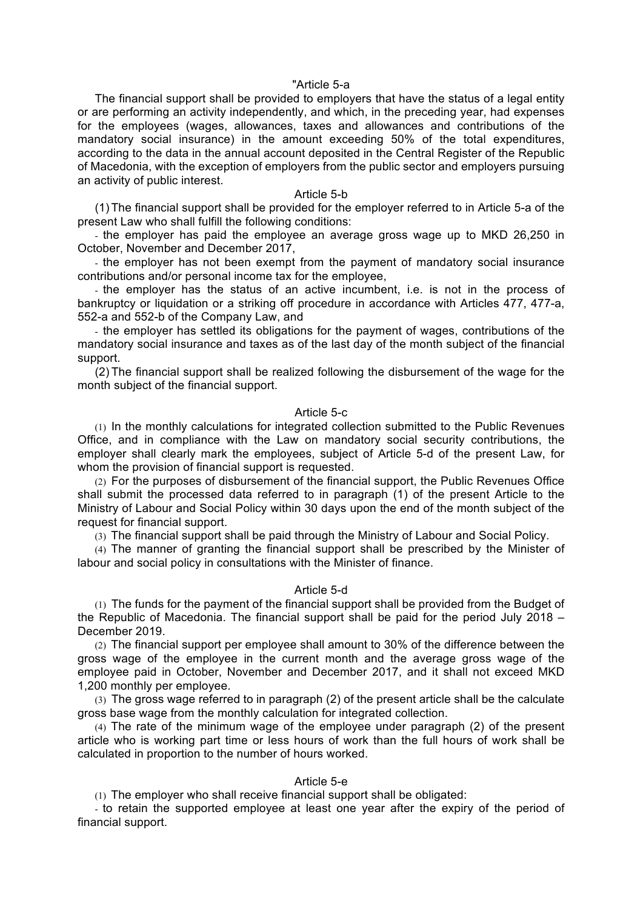#### "Article 5-а

The financial support shall be provided to employers that have the status of a legal entity or are performing an activity independently, and which, in the preceding year, had expenses for the employees (wages, allowances, taxes and allowances and contributions of the mandatory social insurance) in the amount exceeding 50% of the total expenditures, according to the data in the annual account deposited in the Central Register of the Republic of Macedonia, with the exception of employers from the public sector and employers pursuing an activity of public interest.

# Article 5-b

(1) The financial support shall be provided for the employer referred to in Article 5-a of the present Law who shall fulfill the following conditions:

- the employer has paid the employee an average gross wage up to MKD 26,250 in October, November and December 2017,

- the employer has not been exempt from the payment of mandatory social insurance contributions and/or personal income tax for the employee,

- the employer has the status of an active incumbent, i.e. is not in the process of bankruptcy or liquidation or a striking off procedure in accordance with Articles 477, 477-a, 552-a and 552-b of the Company Law, and

- the employer has settled its obligations for the payment of wages, contributions of the mandatory social insurance and taxes as of the last day of the month subject of the financial support.

(2) The financial support shall be realized following the disbursement of the wage for the month subject of the financial support.

## Article 5-c

(1) In the monthly calculations for integrated collection submitted to the Public Revenues Office, and in compliance with the Law on mandatory social security contributions, the employer shall clearly mark the employees, subject of Article 5-d of the present Law, for whom the provision of financial support is requested.

(2) For the purposes of disbursement of the financial support, the Public Revenues Office shall submit the processed data referred to in paragraph (1) of the present Article to the Ministry of Labour and Social Policy within 30 days upon the end of the month subject of the request for financial support.

(3) The financial support shall be paid through the Ministry of Labour and Social Policy.

(4) The manner of granting the financial support shall be prescribed by the Minister of labour and social policy in consultations with the Minister of finance.

## Article 5-d

(1) The funds for the payment of the financial support shall be provided from the Budget of the Republic of Macedonia. The financial support shall be paid for the period July 2018 – December 2019.

(2) The financial support per employee shall amount to 30% of the difference between the gross wage of the employee in the current month and the average gross wage of the employee paid in October, November and December 2017, and it shall not exceed MKD 1,200 monthly per employee.

(3) The gross wage referred to in paragraph (2) of the present article shall be the calculate gross base wage from the monthly calculation for integrated collection.

(4) The rate of the minimum wage of the employee under paragraph (2) of the present article who is working part time or less hours of work than the full hours of work shall be calculated in proportion to the number of hours worked.

## Article 5-e

(1) The employer who shall receive financial support shall be obligated:

- to retain the supported employee at least one year after the expiry of the period of financial support.